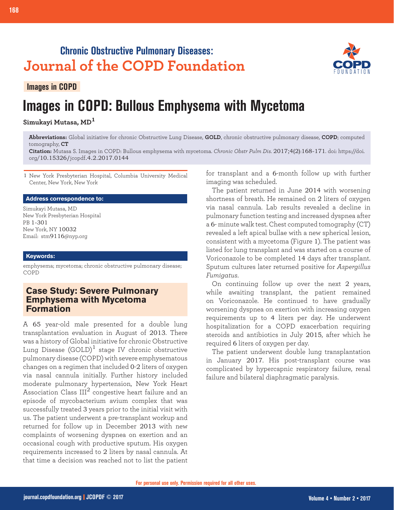# **Chronic Obstructive Pulmonary Diseases: Journal of the COPD Foundation**

**Images in COPD**

# **Images in COPD: Bullous Emphysema with Mycetoma**

**Simukayi Mutasa, MD<sup>1</sup>**

**Abbreviations:** Global initiative for chronic Obstructive Lung Disease, **GOLD**, chronic obstructive pulmonary disease, **COPD**; computed tomography, **CT**

**Citation:** Mutasa S. Images in COPD: Bullous emphysema with mycetoma. *Chronic Obstr Pulm Dis*. 2017;4(2):168-171. doi: https://doi. org/10.15326/jcopdf.4.2.2017.0144

1 New York Presbyterian Hospital, Columbia University Medical Center, New York, New York

#### **Address correspondence to:**

Simukayi Mutasa, MD New York Presbyterian Hospital PB 1-301 New York, NY 10032 Email: stm9116@nyp.org

#### **Keywords:**

emphysema; mycetoma; chronic obstructive pulmonary disease; COPD

### **Case Study: Severe Pulmonary Emphysema with Mycetoma Formation**

A 65 year-old male presented for a double lung transplantation evaluation in August of 2013. There was a history of Global initiative for chronic Obstructive Lung Disease  $(GOLD)^1$  stage IV chronic obstructive pulmonary disease (COPD) with severe emphysematous changes on a regimen that included 0-2 liters of oxygen via nasal cannula initially. Further history included moderate pulmonary hypertension, New York Heart Association Class  $III<sup>2</sup>$  congestive heart failure and an episode of mycobacterium avium complex that was successfully treated 3 years prior to the initial visit with us. The patient underwent a pre-transplant workup and returned for follow up in December 2013 with new complaints of worsening dyspnea on exertion and an occasional cough with productive sputum. His oxygen requirements increased to 2 liters by nasal cannula. At that time a decision was reached not to list the patient for transplant and a 6-month follow up with further imaging was scheduled.

The patient returned in June 2014 with worsening shortness of breath. He remained on 2 liters of oxygen via nasal cannula. Lab results revealed a decline in pulmonary function testing and increased dyspnea after a 6- minute walk test. Chest computed tomography (CT) revealed a left apical bullae with a new spherical lesion, consistent with a mycetoma (Figure 1). The patient was listed for lung transplant and was started on a course of Voriconazole to be completed 14 days after transplant. Sputum cultures later returned positive for *Aspergillus Fumigatus*.

On continuing follow up over the next 2 years, while awaiting transplant, the patient remained on Voriconazole. He continued to have gradually worsening dyspnea on exertion with increasing oxygen requirements up to 4 liters per day. He underwent hospitalization for a COPD exacerbation requiring steroids and antibiotics in July 2015, after which he required 6 liters of oxygen per day.

The patient underwent double lung transplantation in January 2017. His post-transplant course was complicated by hypercapnic respiratory failure, renal failure and bilateral diaphragmatic paralysis.

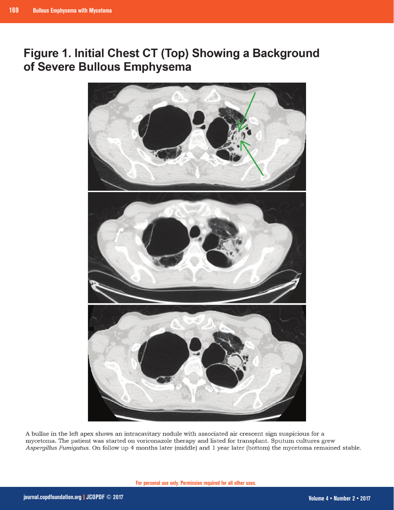## Figure 1. Initial Chest CT (Top) Showing a Background of Severe Bullous Emphysema



A bullae in the left apex shows an intracavitary nodule with associated air crescent sign suspicious for a mycetoma. The patient was started on voriconazole therapy and listed for transplant. Sputum cultures grew Aspergillus Fumigatus. On follow up 4 months later (middle) and 1 year later (bottom) the mycetoma remained stable.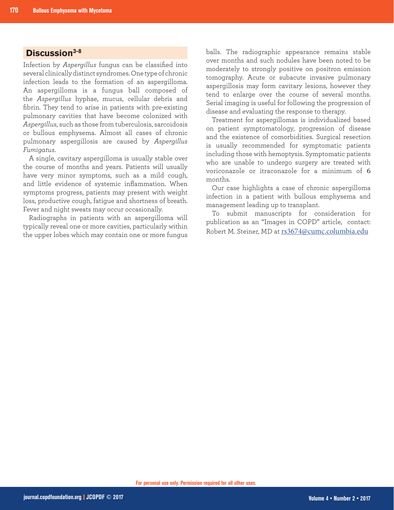## **Discussion3-8**

Infection by *Aspergillus* fungus can be classified into several clinically distinct syndromes. One type of chronic infection leads to the formation of an aspergilloma. An aspergilloma is a fungus ball composed of the *Aspergillus* hyphae, mucus, cellular debris and fibrin. They tend to arise in patients with pre-existing pulmonary cavities that have become colonized with *Aspergillus*, such as those from tuberculosis, sarcoidosis or bullous emphysema. Almost all cases of chronic pulmonary aspergillosis are caused by *Aspergillus Fumigatus*.

A single, cavitary aspergilloma is usually stable over the course of months and years. Patients will usually have very minor symptoms, such as a mild cough, and little evidence of systemic inflammation. When symptoms progress, patients may present with weight loss, productive cough, fatigue and shortness of breath. Fever and night sweats may occur occasionally.

Radiographs in patients with an aspergilloma will typically reveal one or more cavities, particularly within the upper lobes which may contain one or more fungus balls. The radiographic appearance remains stable over months and such nodules have been noted to be moderately to strongly positive on positron emission tomography. Acute or subacute invasive pulmonary aspergillosis may form cavitary lesions, however they tend to enlarge over the course of several months. Serial imaging is useful for following the progression of disease and evaluating the response to therapy.

Treatment for aspergillomas is individualized based on patient symptomatology, progression of disease and the existence of comorbidities. Surgical resection is usually recommended for symptomatic patients including those with hemoptysis. Symptomatic patients who are unable to undergo surgery are treated with voriconazole or itraconazole for a minimum of 6 months.

Our case highlights a case of chronic aspergilloma infection in a patient with bullous emphysema and management leading up to transplant.

To submit manuscripts for consideration for publication as an "Images in COPD" article, contact: Robert M. Steiner, MD at rs3674@cumc.columbia.edu